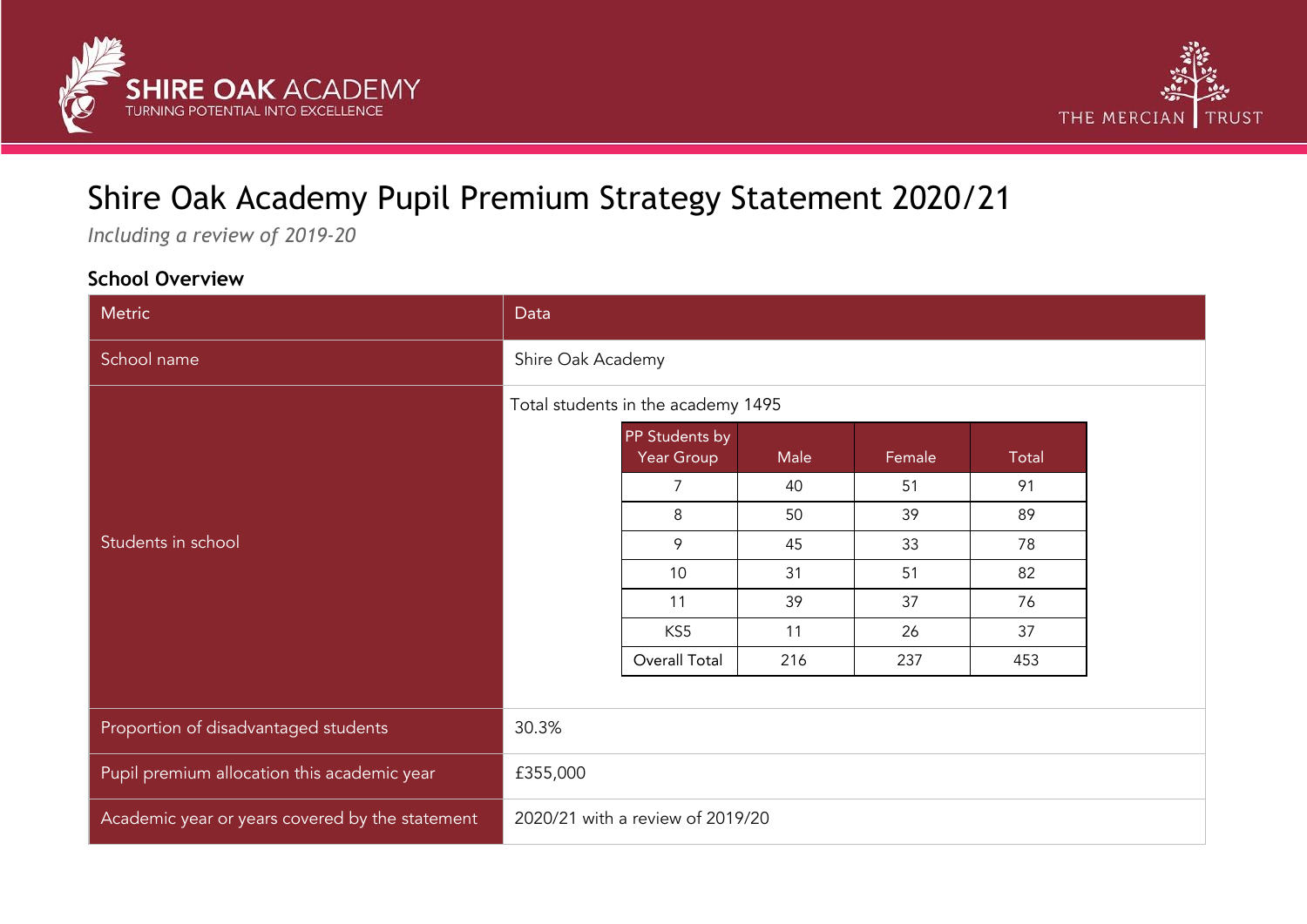



# Shire Oak Academy Pupil Premium Strategy Statement 2020/21

*Including a review of 2019-20*

### **School Overview**

| Metric                                          | Data                               |                                  |      |        |       |
|-------------------------------------------------|------------------------------------|----------------------------------|------|--------|-------|
| School name                                     | Shire Oak Academy                  |                                  |      |        |       |
|                                                 | Total students in the academy 1495 |                                  |      |        |       |
|                                                 |                                    | PP Students by<br>Year Group     | Male | Female | Total |
|                                                 |                                    | 7                                | 40   | 51     | 91    |
|                                                 |                                    | 8                                | 50   | 39     | 89    |
| Students in school                              |                                    | 9                                | 45   | 33     | 78    |
|                                                 |                                    | 10 <sup>°</sup>                  | 31   | 51     | 82    |
|                                                 |                                    | 11                               | 39   | 37     | 76    |
|                                                 |                                    | KS5                              | 11   | 26     | 37    |
|                                                 |                                    | Overall Total                    | 216  | 237    | 453   |
|                                                 |                                    |                                  |      |        |       |
| Proportion of disadvantaged students            | 30.3%                              |                                  |      |        |       |
| Pupil premium allocation this academic year     | £355,000                           |                                  |      |        |       |
| Academic year or years covered by the statement |                                    | 2020/21 with a review of 2019/20 |      |        |       |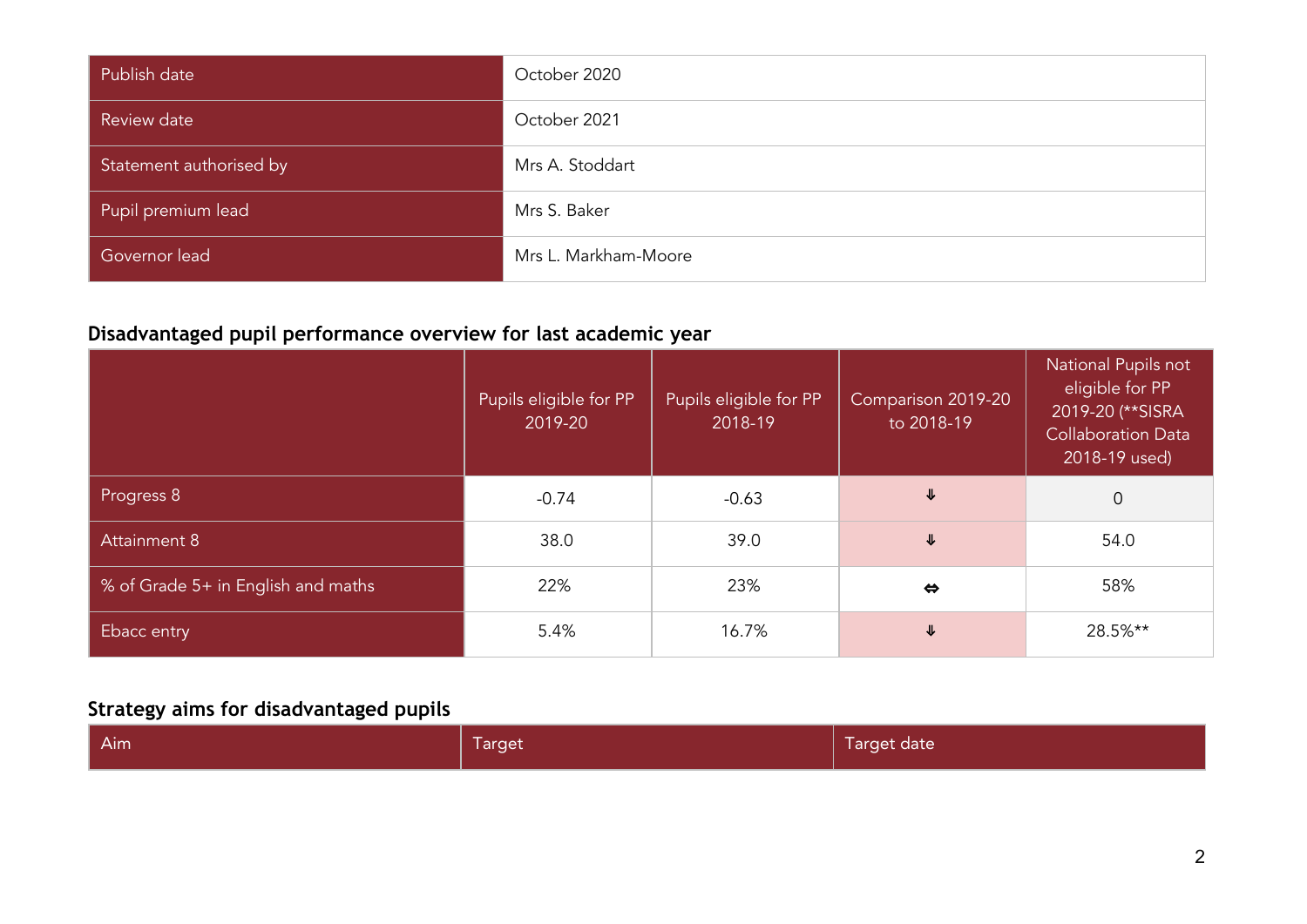| Publish date            | October 2020         |
|-------------------------|----------------------|
| Review date             | October 2021         |
| Statement authorised by | Mrs A. Stoddart      |
| Pupil premium lead      | Mrs S. Baker         |
| Governor lead           | Mrs L. Markham-Moore |

## **Disadvantaged pupil performance overview for last academic year**

|                                    | Pupils eligible for PP<br>2019-20 | Pupils eligible for PP<br>2018-19 | Comparison 2019-20<br>to 2018-19 | National Pupils not<br>eligible for PP<br>2019-20 (** SISRA<br><b>Collaboration Data</b><br>2018-19 used) |
|------------------------------------|-----------------------------------|-----------------------------------|----------------------------------|-----------------------------------------------------------------------------------------------------------|
| Progress 8                         | $-0.74$                           | $-0.63$                           | ⇓                                | $\overline{0}$                                                                                            |
| <b>Attainment 8</b>                | 38.0                              | 39.0                              | ⇓                                | 54.0                                                                                                      |
| % of Grade 5+ in English and maths | 22%                               | 23%                               | $\Leftrightarrow$                | 58%                                                                                                       |
| Ebacc entry                        | 5.4%                              | 16.7%                             | ⇓                                | 28.5%**                                                                                                   |

## **Strategy aims for disadvantaged pupils**

| Target date |
|-------------|
| Target      |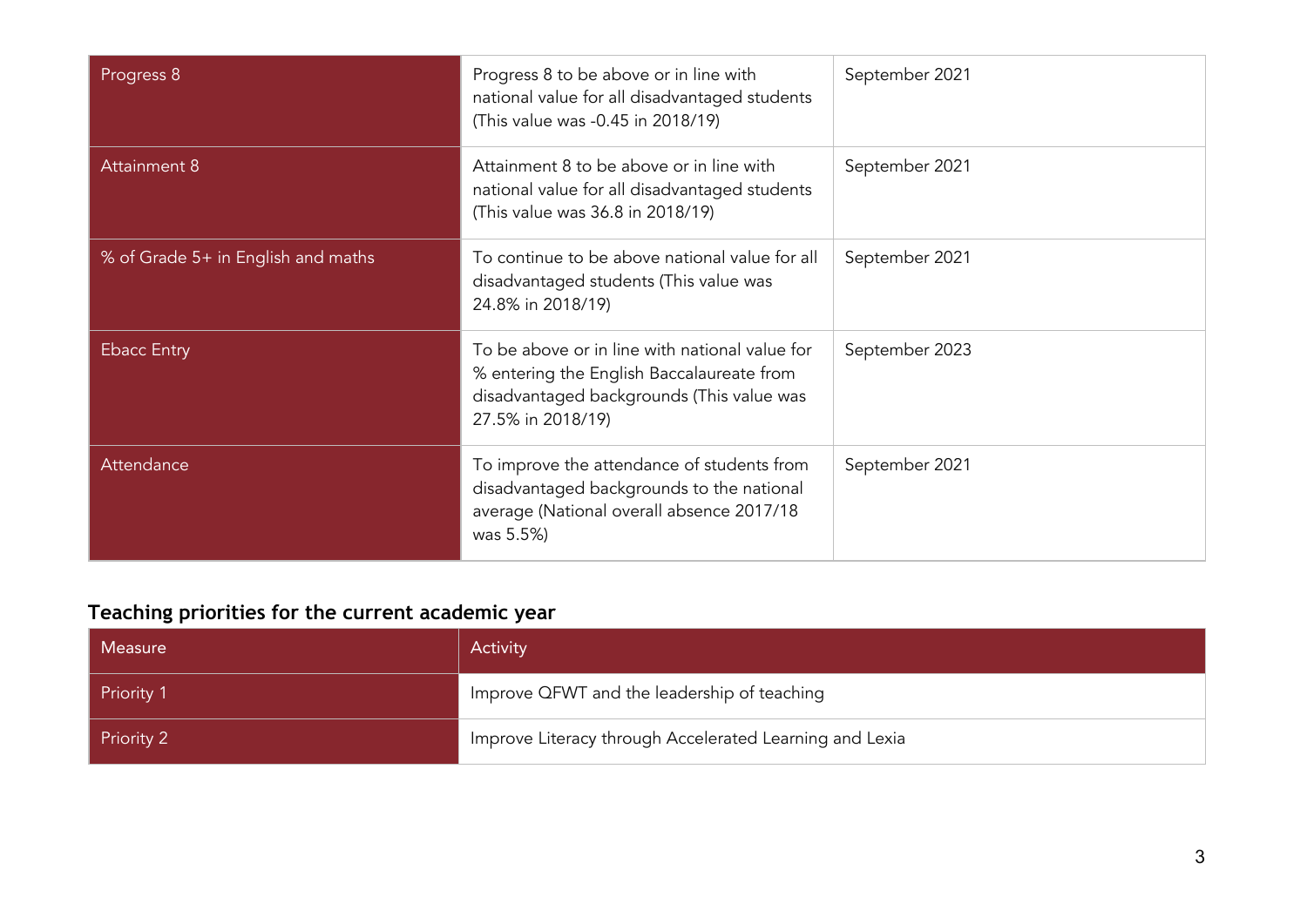| Progress 8                         | Progress 8 to be above or in line with<br>national value for all disadvantaged students<br>(This value was -0.45 in 2018/19)                                  | September 2021 |
|------------------------------------|---------------------------------------------------------------------------------------------------------------------------------------------------------------|----------------|
| <b>Attainment 8</b>                | Attainment 8 to be above or in line with<br>national value for all disadvantaged students<br>(This value was 36.8 in 2018/19)                                 | September 2021 |
| % of Grade 5+ in English and maths | To continue to be above national value for all<br>disadvantaged students (This value was<br>24.8% in 2018/19)                                                 | September 2021 |
| <b>Ebacc Entry</b>                 | To be above or in line with national value for<br>% entering the English Baccalaureate from<br>disadvantaged backgrounds (This value was<br>27.5% in 2018/19) | September 2023 |
| Attendance                         | To improve the attendance of students from<br>disadvantaged backgrounds to the national<br>average (National overall absence 2017/18<br>was 5.5%)             | September 2021 |

## **Teaching priorities for the current academic year**

| Measure           | Activity                                                |
|-------------------|---------------------------------------------------------|
| <b>Priority 1</b> | Improve QFWT and the leadership of teaching             |
| Priority 2        | Improve Literacy through Accelerated Learning and Lexia |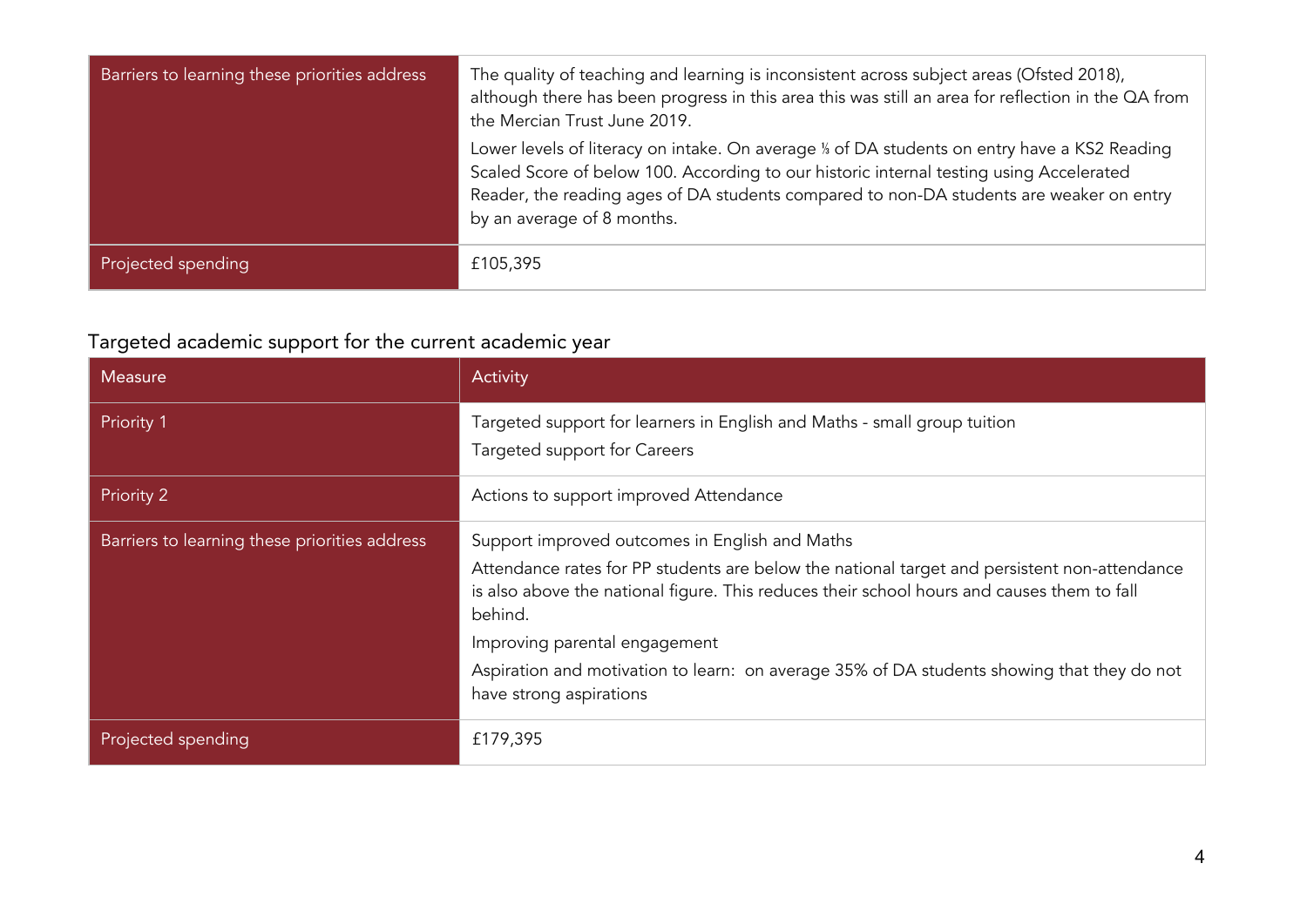| Barriers to learning these priorities address | The quality of teaching and learning is inconsistent across subject areas (Ofsted 2018),<br>although there has been progress in this area this was still an area for reflection in the QA from<br>the Mercian Trust June 2019.                                                                                  |
|-----------------------------------------------|-----------------------------------------------------------------------------------------------------------------------------------------------------------------------------------------------------------------------------------------------------------------------------------------------------------------|
|                                               | Lower levels of literacy on intake. On average % of DA students on entry have a KS2 Reading<br>Scaled Score of below 100. According to our historic internal testing using Accelerated<br>Reader, the reading ages of DA students compared to non-DA students are weaker on entry<br>by an average of 8 months. |
| Projected spending                            | £105,395                                                                                                                                                                                                                                                                                                        |

## Targeted academic support for the current academic year

| <b>Measure</b>                                | Activity                                                                                                                                                                                                                                                                                                                                                                                                          |
|-----------------------------------------------|-------------------------------------------------------------------------------------------------------------------------------------------------------------------------------------------------------------------------------------------------------------------------------------------------------------------------------------------------------------------------------------------------------------------|
| <b>Priority 1</b>                             | Targeted support for learners in English and Maths - small group tuition<br>Targeted support for Careers                                                                                                                                                                                                                                                                                                          |
| Priority 2                                    | Actions to support improved Attendance                                                                                                                                                                                                                                                                                                                                                                            |
| Barriers to learning these priorities address | Support improved outcomes in English and Maths<br>Attendance rates for PP students are below the national target and persistent non-attendance<br>is also above the national figure. This reduces their school hours and causes them to fall<br>behind.<br>Improving parental engagement<br>Aspiration and motivation to learn: on average 35% of DA students showing that they do not<br>have strong aspirations |
| Projected spending                            | £179,395                                                                                                                                                                                                                                                                                                                                                                                                          |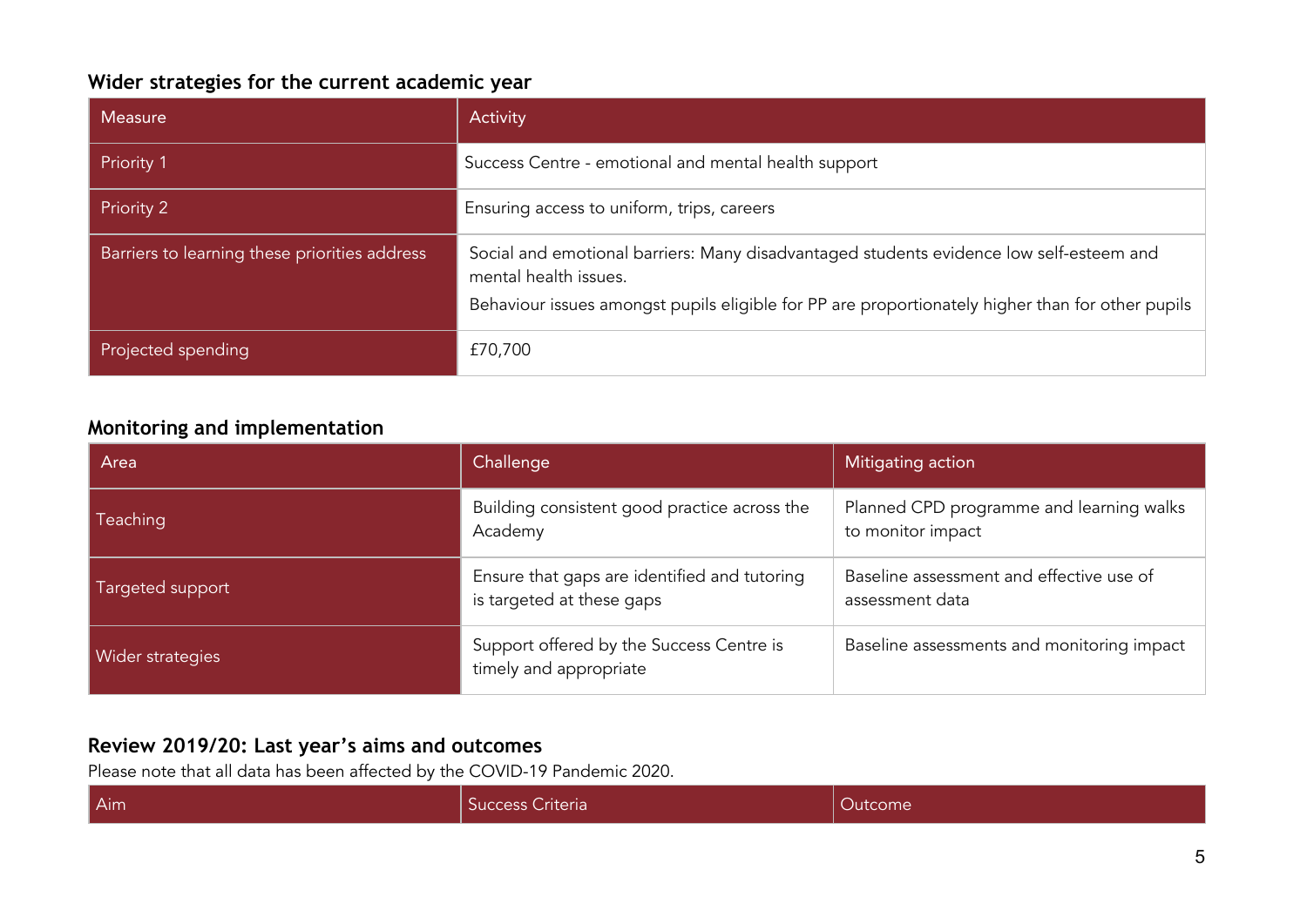### **Wider strategies for the current academic year**

| <b>Measure</b>                                | Activity                                                                                                         |
|-----------------------------------------------|------------------------------------------------------------------------------------------------------------------|
| Priority 1                                    | Success Centre - emotional and mental health support                                                             |
| Priority 2                                    | Ensuring access to uniform, trips, careers                                                                       |
| Barriers to learning these priorities address | Social and emotional barriers: Many disadvantaged students evidence low self-esteem and<br>mental health issues. |
|                                               | Behaviour issues amongst pupils eligible for PP are proportionately higher than for other pupils                 |
| Projected spending                            | £70,700                                                                                                          |

### **Monitoring and implementation**

| Area             | Challenge                                                                 | Mitigating action                                             |
|------------------|---------------------------------------------------------------------------|---------------------------------------------------------------|
| <b>Teaching</b>  | Building consistent good practice across the<br>Academy                   | Planned CPD programme and learning walks<br>to monitor impact |
| Targeted support | Ensure that gaps are identified and tutoring<br>is targeted at these gaps | Baseline assessment and effective use of<br>assessment data   |
| Wider strategies | Support offered by the Success Centre is<br>timely and appropriate        | Baseline assessments and monitoring impact                    |

#### **Review 2019/20: Last year's aims and outcomes**

Please note that all data has been affected by the COVID-19 Pandemic 2020.

| Aim<br>Success Criteria<br>Jutcome |
|------------------------------------|
|------------------------------------|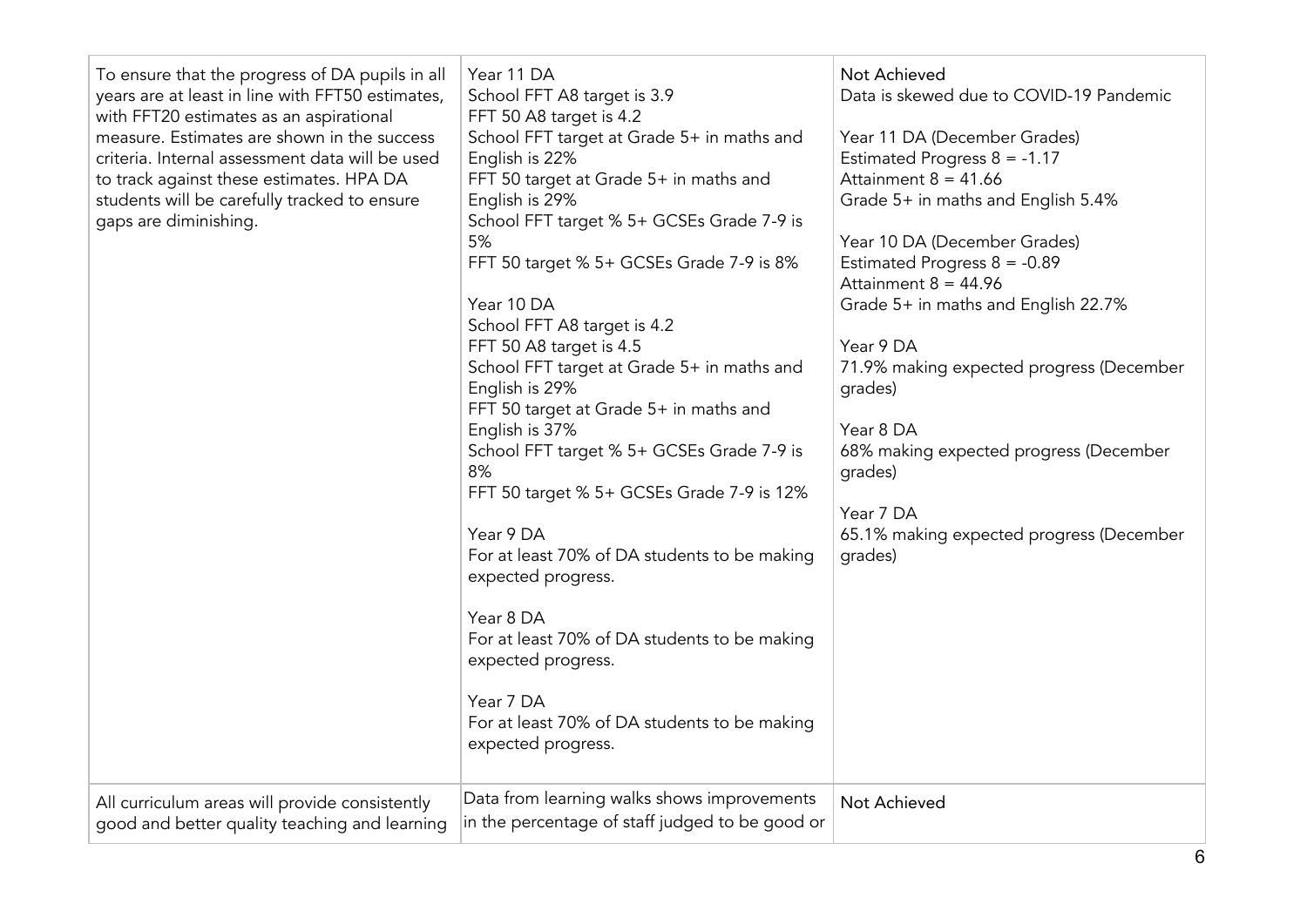| To ensure that the progress of DA pupils in all<br>years are at least in line with FFT50 estimates,<br>with FFT20 estimates as an aspirational<br>measure. Estimates are shown in the success<br>criteria. Internal assessment data will be used<br>to track against these estimates. HPA DA<br>students will be carefully tracked to ensure<br>gaps are diminishing.<br>All curriculum areas will provide consistently | Year 11 DA<br>School FFT A8 target is 3.9<br>FFT 50 A8 target is 4.2<br>School FFT target at Grade 5+ in maths and<br>English is 22%<br>FFT 50 target at Grade 5+ in maths and<br>English is 29%<br>School FFT target % 5+ GCSEs Grade 7-9 is<br>5%<br>FFT 50 target % 5+ GCSEs Grade 7-9 is 8%<br>Year 10 DA<br>School FFT A8 target is 4.2<br>FFT 50 A8 target is 4.5<br>School FFT target at Grade 5+ in maths and<br>English is 29%<br>FFT 50 target at Grade 5+ in maths and<br>English is 37%<br>School FFT target % 5+ GCSEs Grade 7-9 is<br>8%<br>FFT 50 target % 5+ GCSEs Grade 7-9 is 12%<br>Year 9 DA<br>For at least 70% of DA students to be making<br>expected progress.<br>Year 8 DA<br>For at least 70% of DA students to be making<br>expected progress.<br>Year 7 DA<br>For at least 70% of DA students to be making<br>expected progress.<br>Data from learning walks shows improvements | Not Achieved<br>Data is skewed due to COVID-19 Pandemic<br>Year 11 DA (December Grades)<br>Estimated Progress $8 = -1.17$<br>Attainment $8 = 41.66$<br>Grade 5+ in maths and English 5.4%<br>Year 10 DA (December Grades)<br>Estimated Progress $8 = -0.89$<br>Attainment $8 = 44.96$<br>Grade 5+ in maths and English 22.7%<br>Year 9 DA<br>71.9% making expected progress (December<br>qrades)<br>Year 8 DA<br>68% making expected progress (December<br>qrades)<br>Year 7 DA<br>65.1% making expected progress (December<br>grades)<br>Not Achieved |
|-------------------------------------------------------------------------------------------------------------------------------------------------------------------------------------------------------------------------------------------------------------------------------------------------------------------------------------------------------------------------------------------------------------------------|-------------------------------------------------------------------------------------------------------------------------------------------------------------------------------------------------------------------------------------------------------------------------------------------------------------------------------------------------------------------------------------------------------------------------------------------------------------------------------------------------------------------------------------------------------------------------------------------------------------------------------------------------------------------------------------------------------------------------------------------------------------------------------------------------------------------------------------------------------------------------------------------------------------|--------------------------------------------------------------------------------------------------------------------------------------------------------------------------------------------------------------------------------------------------------------------------------------------------------------------------------------------------------------------------------------------------------------------------------------------------------------------------------------------------------------------------------------------------------|
| good and better quality teaching and learning                                                                                                                                                                                                                                                                                                                                                                           | in the percentage of staff judged to be good or                                                                                                                                                                                                                                                                                                                                                                                                                                                                                                                                                                                                                                                                                                                                                                                                                                                             |                                                                                                                                                                                                                                                                                                                                                                                                                                                                                                                                                        |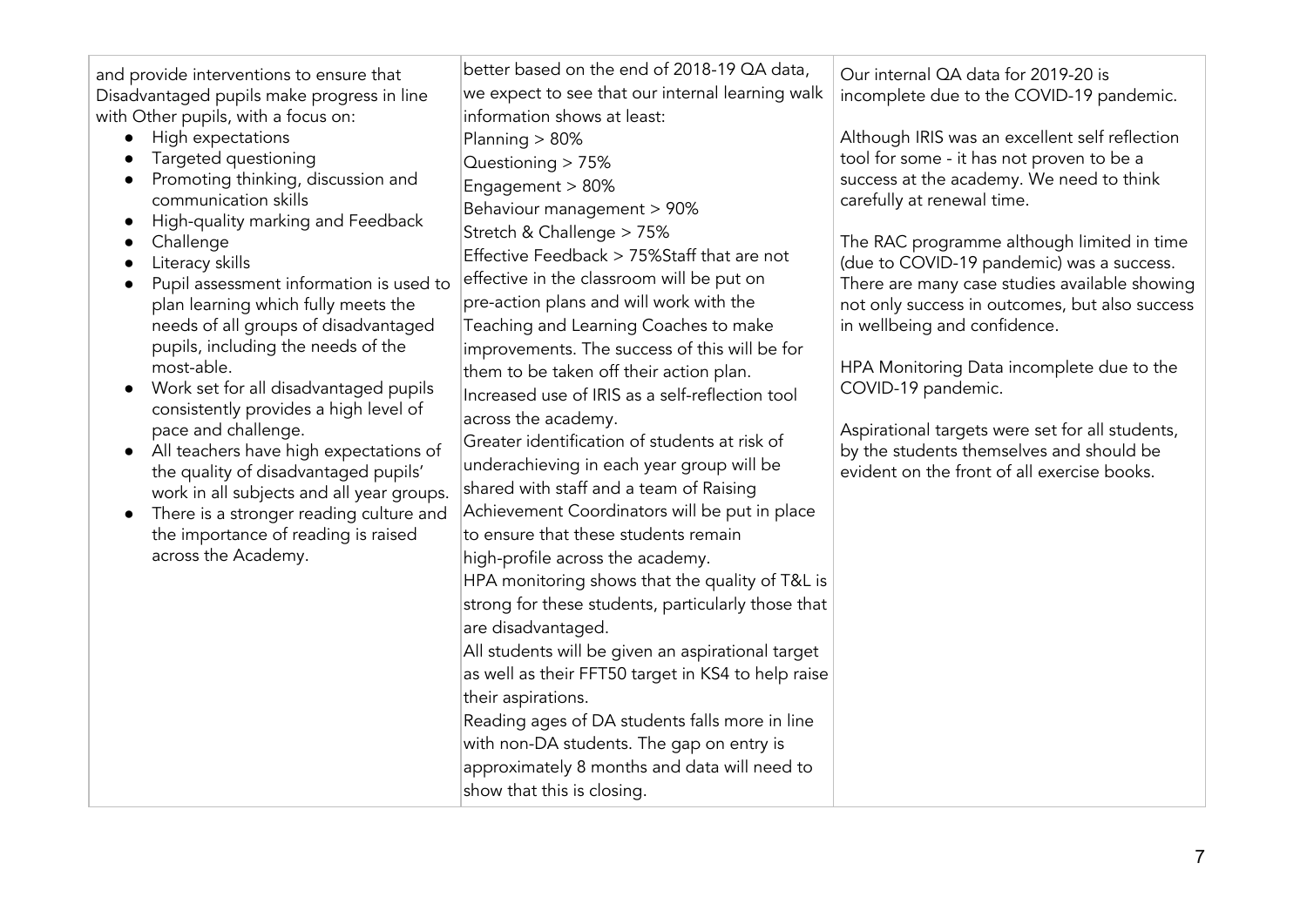| and provide interventions to ensure that<br>Disadvantaged pupils make progress in line<br>with Other pupils, with a focus on:<br>High expectations<br>Targeted questioning<br>Promoting thinking, discussion and<br>communication skills<br>High-quality marking and Feedback<br>$\bullet$<br>Challenge<br>Literacy skills<br>Pupil assessment information is used to<br>plan learning which fully meets the<br>needs of all groups of disadvantaged<br>pupils, including the needs of the<br>most-able.<br>Work set for all disadvantaged pupils<br>$\bullet$<br>consistently provides a high level of<br>pace and challenge.<br>All teachers have high expectations of<br>$\bullet$<br>the quality of disadvantaged pupils'<br>work in all subjects and all year groups.<br>There is a stronger reading culture and<br>$\bullet$<br>the importance of reading is raised<br>across the Academy. | better based on the end of 2018-19 QA data,<br>we expect to see that our internal learning walk<br>information shows at least:<br>Planning $> 80\%$<br>Questioning > 75%<br>Engagement > 80%<br>Behaviour management > 90%<br>Stretch & Challenge > 75%<br>Effective Feedback > 75%Staff that are not<br>effective in the classroom will be put on<br>pre-action plans and will work with the<br>Teaching and Learning Coaches to make<br>improvements. The success of this will be for<br>them to be taken off their action plan.<br>Increased use of IRIS as a self-reflection tool<br>across the academy.<br>Greater identification of students at risk of<br>underachieving in each year group will be<br>shared with staff and a team of Raising<br>Achievement Coordinators will be put in place<br>to ensure that these students remain<br>high-profile across the academy.<br>HPA monitoring shows that the quality of T&L is<br>strong for these students, particularly those that<br>are disadvantaged.<br>All students will be given an aspirational target<br>as well as their FFT50 target in KS4 to help raise<br>their aspirations.<br>Reading ages of DA students falls more in line<br>with non-DA students. The gap on entry is<br>approximately 8 months and data will need to<br>show that this is closing. | Our internal QA data for 2019-20 is<br>incomplete due to the COVID-19 pandemic.<br>Although IRIS was an excellent self reflection<br>tool for some - it has not proven to be a<br>success at the academy. We need to think<br>carefully at renewal time.<br>The RAC programme although limited in time<br>(due to COVID-19 pandemic) was a success.<br>There are many case studies available showing<br>not only success in outcomes, but also success<br>in wellbeing and confidence.<br>HPA Monitoring Data incomplete due to the<br>COVID-19 pandemic.<br>Aspirational targets were set for all students,<br>by the students themselves and should be<br>evident on the front of all exercise books. |
|--------------------------------------------------------------------------------------------------------------------------------------------------------------------------------------------------------------------------------------------------------------------------------------------------------------------------------------------------------------------------------------------------------------------------------------------------------------------------------------------------------------------------------------------------------------------------------------------------------------------------------------------------------------------------------------------------------------------------------------------------------------------------------------------------------------------------------------------------------------------------------------------------|---------------------------------------------------------------------------------------------------------------------------------------------------------------------------------------------------------------------------------------------------------------------------------------------------------------------------------------------------------------------------------------------------------------------------------------------------------------------------------------------------------------------------------------------------------------------------------------------------------------------------------------------------------------------------------------------------------------------------------------------------------------------------------------------------------------------------------------------------------------------------------------------------------------------------------------------------------------------------------------------------------------------------------------------------------------------------------------------------------------------------------------------------------------------------------------------------------------------------------------------------------------------------------------------------------------------------------|---------------------------------------------------------------------------------------------------------------------------------------------------------------------------------------------------------------------------------------------------------------------------------------------------------------------------------------------------------------------------------------------------------------------------------------------------------------------------------------------------------------------------------------------------------------------------------------------------------------------------------------------------------------------------------------------------------|
|--------------------------------------------------------------------------------------------------------------------------------------------------------------------------------------------------------------------------------------------------------------------------------------------------------------------------------------------------------------------------------------------------------------------------------------------------------------------------------------------------------------------------------------------------------------------------------------------------------------------------------------------------------------------------------------------------------------------------------------------------------------------------------------------------------------------------------------------------------------------------------------------------|---------------------------------------------------------------------------------------------------------------------------------------------------------------------------------------------------------------------------------------------------------------------------------------------------------------------------------------------------------------------------------------------------------------------------------------------------------------------------------------------------------------------------------------------------------------------------------------------------------------------------------------------------------------------------------------------------------------------------------------------------------------------------------------------------------------------------------------------------------------------------------------------------------------------------------------------------------------------------------------------------------------------------------------------------------------------------------------------------------------------------------------------------------------------------------------------------------------------------------------------------------------------------------------------------------------------------------|---------------------------------------------------------------------------------------------------------------------------------------------------------------------------------------------------------------------------------------------------------------------------------------------------------------------------------------------------------------------------------------------------------------------------------------------------------------------------------------------------------------------------------------------------------------------------------------------------------------------------------------------------------------------------------------------------------|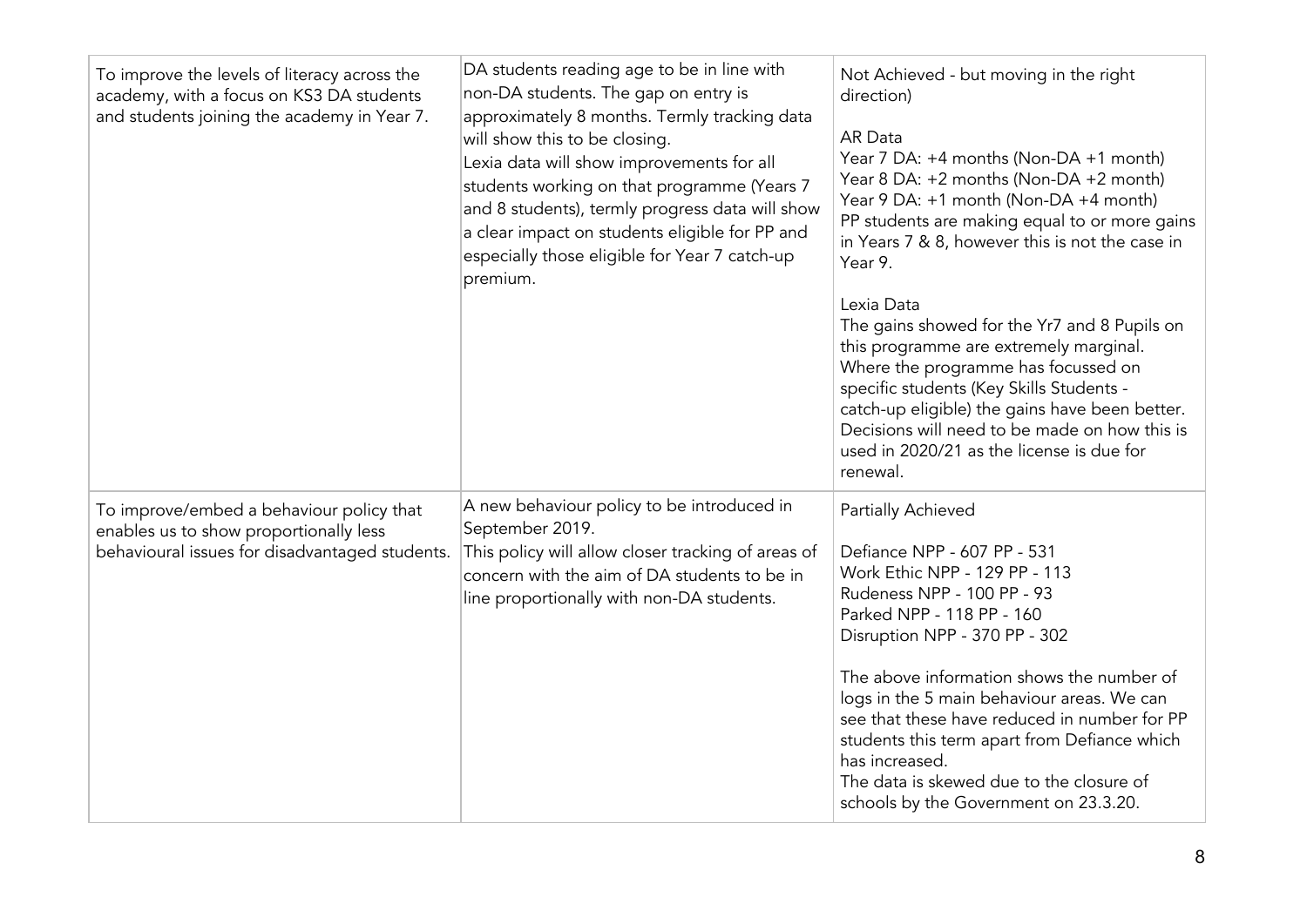| To improve the levels of literacy across the<br>academy, with a focus on KS3 DA students<br>and students joining the academy in Year 7. | DA students reading age to be in line with<br>non-DA students. The gap on entry is<br>approximately 8 months. Termly tracking data<br>will show this to be closing.<br>Lexia data will show improvements for all<br>students working on that programme (Years 7<br>and 8 students), termly progress data will show<br>a clear impact on students eligible for PP and<br>especially those eligible for Year 7 catch-up<br>premium. | Not Achieved - but moving in the right<br>direction)<br>AR Data<br>Year 7 DA: +4 months (Non-DA +1 month)<br>Year 8 DA: +2 months (Non-DA +2 month)<br>Year 9 DA: +1 month (Non-DA +4 month)<br>PP students are making equal to or more gains<br>in Years 7 & 8, however this is not the case in<br>Year 9.<br>Lexia Data<br>The gains showed for the Yr7 and 8 Pupils on<br>this programme are extremely marginal.<br>Where the programme has focussed on<br>specific students (Key Skills Students -<br>catch-up eligible) the gains have been better.<br>Decisions will need to be made on how this is<br>used in 2020/21 as the license is due for<br>renewal. |
|-----------------------------------------------------------------------------------------------------------------------------------------|-----------------------------------------------------------------------------------------------------------------------------------------------------------------------------------------------------------------------------------------------------------------------------------------------------------------------------------------------------------------------------------------------------------------------------------|--------------------------------------------------------------------------------------------------------------------------------------------------------------------------------------------------------------------------------------------------------------------------------------------------------------------------------------------------------------------------------------------------------------------------------------------------------------------------------------------------------------------------------------------------------------------------------------------------------------------------------------------------------------------|
| To improve/embed a behaviour policy that<br>enables us to show proportionally less<br>behavioural issues for disadvantaged students.    | A new behaviour policy to be introduced in<br>September 2019.<br>This policy will allow closer tracking of areas of<br>concern with the aim of DA students to be in<br>line proportionally with non-DA students.                                                                                                                                                                                                                  | Partially Achieved<br>Defiance NPP - 607 PP - 531<br>Work Ethic NPP - 129 PP - 113<br>Rudeness NPP - 100 PP - 93<br>Parked NPP - 118 PP - 160<br>Disruption NPP - 370 PP - 302<br>The above information shows the number of<br>logs in the 5 main behaviour areas. We can<br>see that these have reduced in number for PP<br>students this term apart from Defiance which<br>has increased.<br>The data is skewed due to the closure of<br>schools by the Government on 23.3.20.                                                                                                                                                                                   |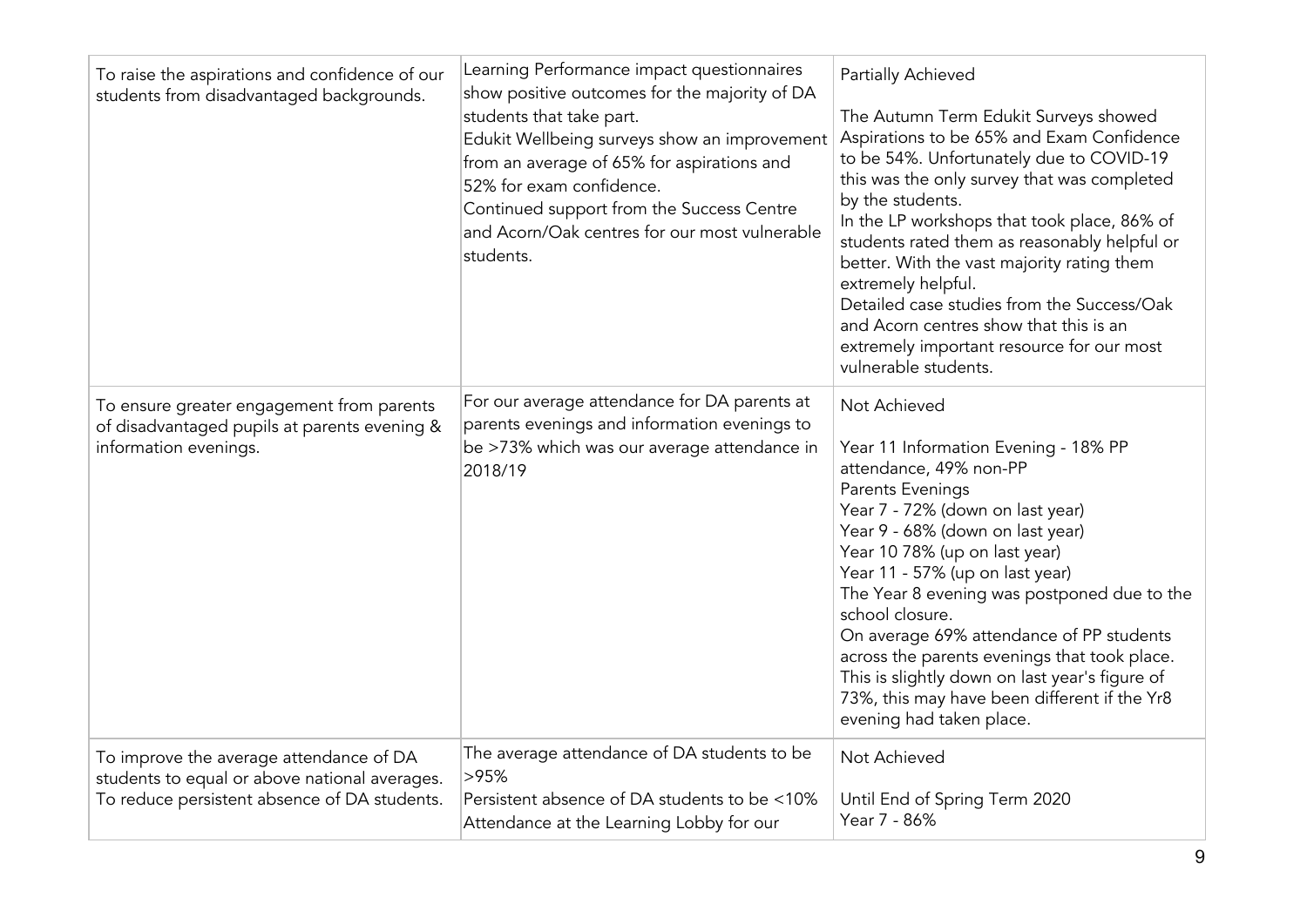| To raise the aspirations and confidence of our<br>students from disadvantaged backgrounds.                                               | Learning Performance impact questionnaires<br>show positive outcomes for the majority of DA<br>students that take part.<br>Edukit Wellbeing surveys show an improvement<br>from an average of 65% for aspirations and<br>52% for exam confidence.<br>Continued support from the Success Centre<br>and Acorn/Oak centres for our most vulnerable<br>students. | Partially Achieved<br>The Autumn Term Edukit Surveys showed<br>Aspirations to be 65% and Exam Confidence<br>to be 54%. Unfortunately due to COVID-19<br>this was the only survey that was completed<br>by the students.<br>In the LP workshops that took place, 86% of<br>students rated them as reasonably helpful or<br>better. With the vast majority rating them<br>extremely helpful.<br>Detailed case studies from the Success/Oak<br>and Acorn centres show that this is an<br>extremely important resource for our most<br>vulnerable students. |
|------------------------------------------------------------------------------------------------------------------------------------------|--------------------------------------------------------------------------------------------------------------------------------------------------------------------------------------------------------------------------------------------------------------------------------------------------------------------------------------------------------------|---------------------------------------------------------------------------------------------------------------------------------------------------------------------------------------------------------------------------------------------------------------------------------------------------------------------------------------------------------------------------------------------------------------------------------------------------------------------------------------------------------------------------------------------------------|
| To ensure greater engagement from parents<br>of disadvantaged pupils at parents evening &<br>information evenings.                       | For our average attendance for DA parents at<br>parents evenings and information evenings to<br>be >73% which was our average attendance in<br>2018/19                                                                                                                                                                                                       | Not Achieved<br>Year 11 Information Evening - 18% PP<br>attendance, 49% non-PP<br>Parents Evenings<br>Year 7 - 72% (down on last year)<br>Year 9 - 68% (down on last year)<br>Year 10 78% (up on last year)<br>Year 11 - 57% (up on last year)<br>The Year 8 evening was postponed due to the<br>school closure.<br>On average 69% attendance of PP students<br>across the parents evenings that took place.<br>This is slightly down on last year's figure of<br>73%, this may have been different if the Yr8<br>evening had taken place.              |
| To improve the average attendance of DA<br>students to equal or above national averages.<br>To reduce persistent absence of DA students. | The average attendance of DA students to be<br>>95%<br>Persistent absence of DA students to be <10%<br>Attendance at the Learning Lobby for our                                                                                                                                                                                                              | Not Achieved<br>Until End of Spring Term 2020<br>Year 7 - 86%                                                                                                                                                                                                                                                                                                                                                                                                                                                                                           |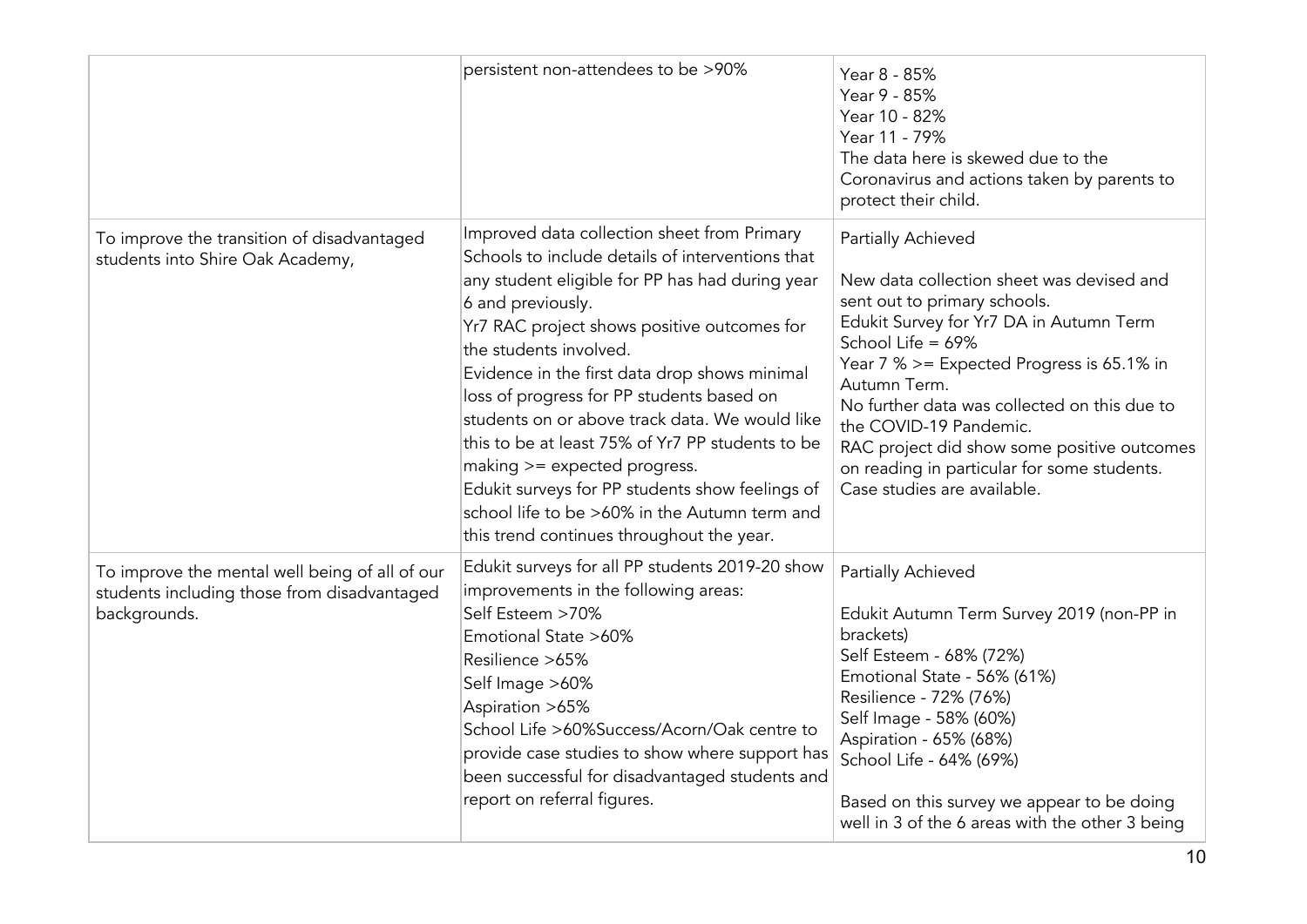|                                                                                                               | persistent non-attendees to be >90%                                                                                                                                                                                                                                                                                                                                                                                                                                                                                                                                                                                                   | Year 8 - 85%<br>Year 9 - 85%<br>Year 10 - 82%<br>Year 11 - 79%<br>The data here is skewed due to the<br>Coronavirus and actions taken by parents to<br>protect their child.                                                                                                                                                                                                                                                         |
|---------------------------------------------------------------------------------------------------------------|---------------------------------------------------------------------------------------------------------------------------------------------------------------------------------------------------------------------------------------------------------------------------------------------------------------------------------------------------------------------------------------------------------------------------------------------------------------------------------------------------------------------------------------------------------------------------------------------------------------------------------------|-------------------------------------------------------------------------------------------------------------------------------------------------------------------------------------------------------------------------------------------------------------------------------------------------------------------------------------------------------------------------------------------------------------------------------------|
| To improve the transition of disadvantaged<br>students into Shire Oak Academy,                                | Improved data collection sheet from Primary<br>Schools to include details of interventions that<br>any student eligible for PP has had during year<br>6 and previously.<br>Yr7 RAC project shows positive outcomes for<br>the students involved.<br>Evidence in the first data drop shows minimal<br>loss of progress for PP students based on<br>students on or above track data. We would like<br>this to be at least 75% of Yr7 PP students to be<br>making >= expected progress.<br>Edukit surveys for PP students show feelings of<br>school life to be >60% in the Autumn term and<br>this trend continues throughout the year. | Partially Achieved<br>New data collection sheet was devised and<br>sent out to primary schools.<br>Edukit Survey for Yr7 DA in Autumn Term<br>School Life = 69%<br>Year 7 % >= Expected Progress is 65.1% in<br>Autumn Term.<br>No further data was collected on this due to<br>the COVID-19 Pandemic.<br>RAC project did show some positive outcomes<br>on reading in particular for some students.<br>Case studies are available. |
| To improve the mental well being of all of our<br>students including those from disadvantaged<br>backgrounds. | Edukit surveys for all PP students 2019-20 show<br>improvements in the following areas:<br>Self Esteem >70%<br>Emotional State >60%<br>Resilience >65%<br>Self Image >60%<br>Aspiration >65%<br>School Life >60%Success/Acorn/Oak centre to<br>provide case studies to show where support has<br>been successful for disadvantaged students and<br>report on referral figures.                                                                                                                                                                                                                                                        | Partially Achieved<br>Edukit Autumn Term Survey 2019 (non-PP in<br>brackets)<br>Self Esteem - 68% (72%)<br>Emotional State - 56% (61%)<br>Resilience - 72% (76%)<br>Self Image - 58% (60%)<br>Aspiration - 65% (68%)<br>School Life - 64% (69%)<br>Based on this survey we appear to be doing<br>well in 3 of the 6 areas with the other 3 being                                                                                    |